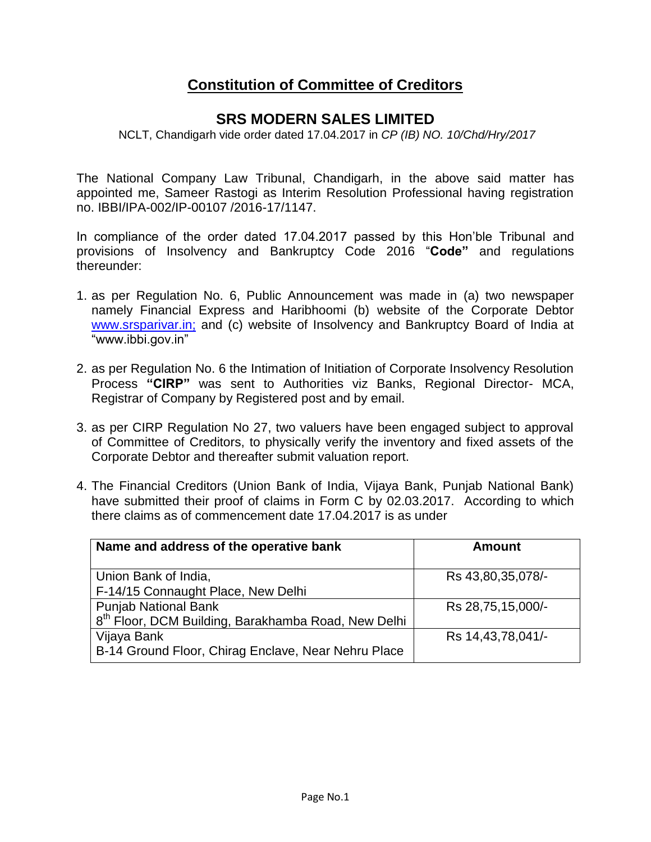## **Constitution of Committee of Creditors**

## **SRS MODERN SALES LIMITED**

NCLT, Chandigarh vide order dated 17.04.2017 in *CP (IB) NO. 10/Chd/Hry/2017*

The National Company Law Tribunal, Chandigarh, in the above said matter has appointed me, Sameer Rastogi as Interim Resolution Professional having registration no. IBBI/IPA-002/IP-00107 /2016-17/1147.

In compliance of the order dated 17.04.2017 passed by this Hon'ble Tribunal and provisions of Insolvency and Bankruptcy Code 2016 "**Code"** and regulations thereunder:

- 1. as per Regulation No. 6, Public Announcement was made in (a) two newspaper namely Financial Express and Haribhoomi (b) website of the Corporate Debtor [www.srsparivar.in;](http://www.srsparivar.in/) and (c) website of Insolvency and Bankruptcy Board of India at "www.ibbi.gov.in"
- 2. as per Regulation No. 6 the Intimation of Initiation of Corporate Insolvency Resolution Process **"CIRP"** was sent to Authorities viz Banks, Regional Director- MCA, Registrar of Company by Registered post and by email.
- 3. as per CIRP Regulation No 27, two valuers have been engaged subject to approval of Committee of Creditors, to physically verify the inventory and fixed assets of the Corporate Debtor and thereafter submit valuation report.
- 4. The Financial Creditors (Union Bank of India, Vijaya Bank, Punjab National Bank) have submitted their proof of claims in Form C by 02.03.2017. According to which there claims as of commencement date 17.04.2017 is as under

| Name and address of the operative bank                                         | <b>Amount</b>     |
|--------------------------------------------------------------------------------|-------------------|
| Union Bank of India,                                                           | Rs 43,80,35,078/- |
| F-14/15 Connaught Place, New Delhi<br><b>Punjab National Bank</b>              | Rs 28,75,15,000/- |
| 8 <sup>th</sup> Floor, DCM Building, Barakhamba Road, New Delhi<br>Vijaya Bank | Rs 14,43,78,041/- |
| B-14 Ground Floor, Chirag Enclave, Near Nehru Place                            |                   |